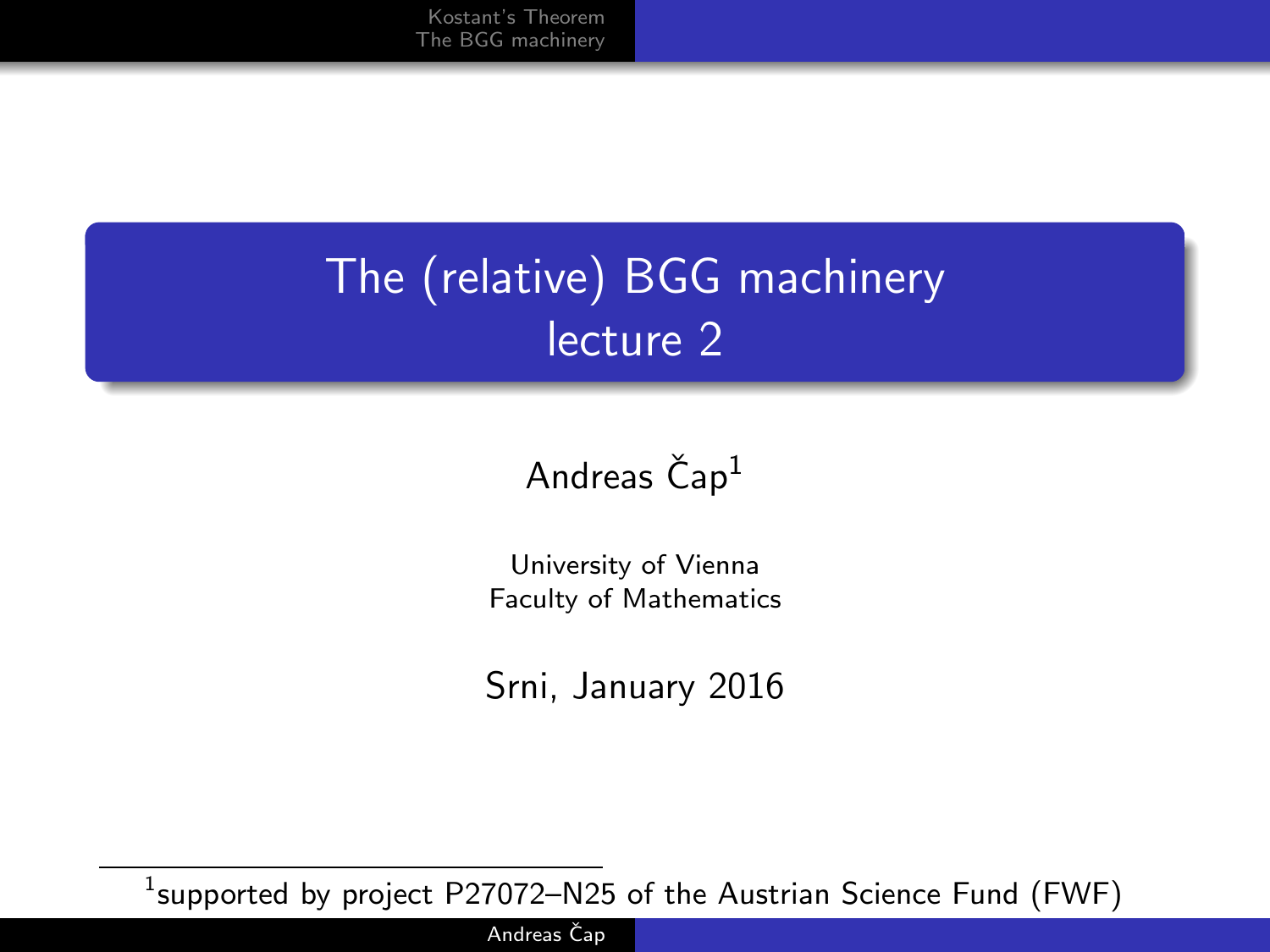# The (relative) BGG machinery lecture 2

#### Andreas  $\text{Čap}^1$

University of Vienna Faculty of Mathematics

Srni, January 2016

 $^1$ supported by project <code>P27072–N25</code> of the Austrian Science Fund (FWF)

Andreas Čap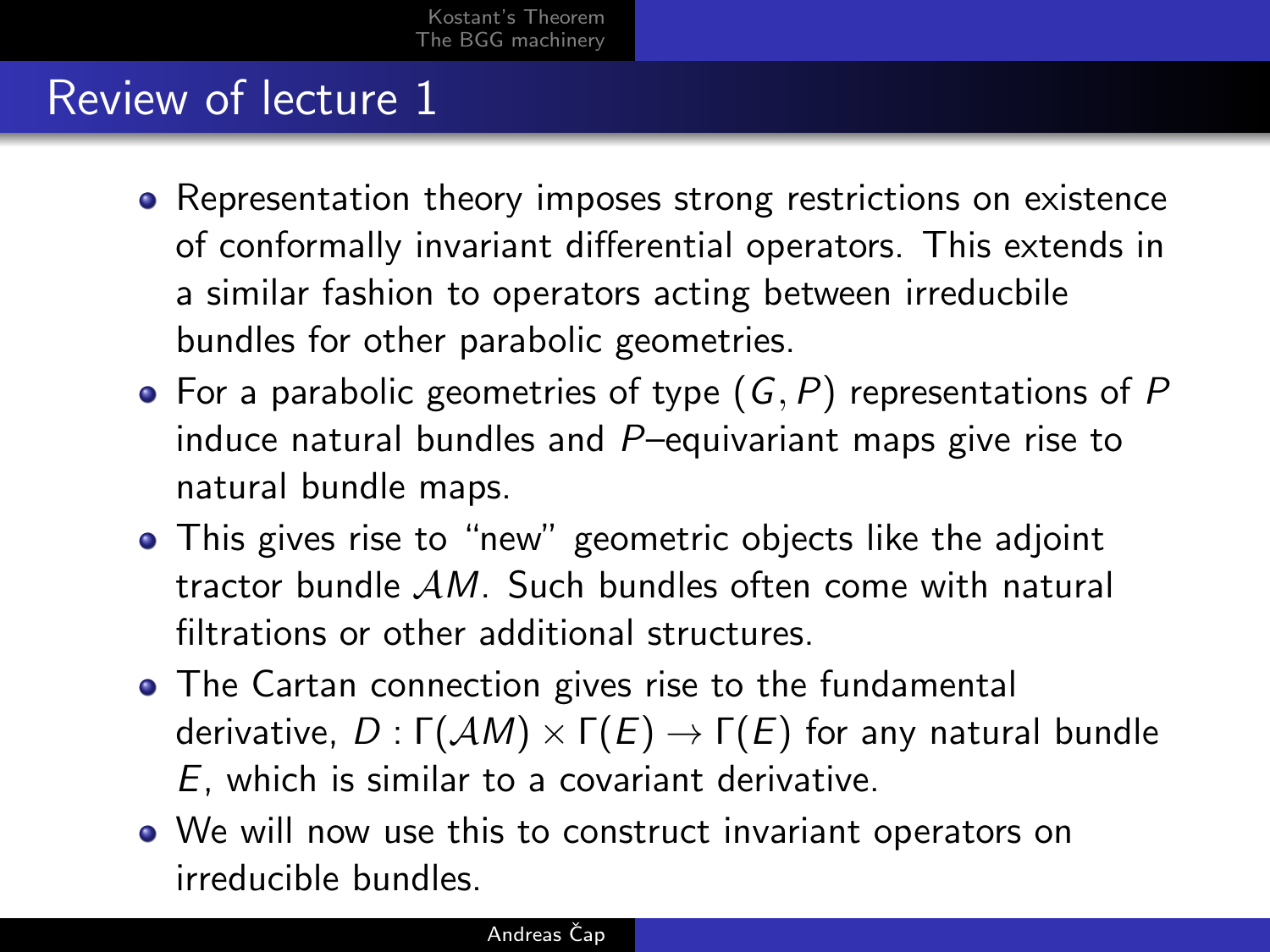## Review of lecture 1

- Representation theory imposes strong restrictions on existence of conformally invariant differential operators. This extends in a similar fashion to operators acting between irreducbile bundles for other parabolic geometries.
- For a parabolic geometries of type  $(G, P)$  representations of P induce natural bundles and P–equivariant maps give rise to natural bundle maps.
- This gives rise to "new" geometric objects like the adjoint tractor bundle AM. Such bundles often come with natural filtrations or other additional structures.
- The Cartan connection gives rise to the fundamental derivative,  $D: \Gamma(\mathcal{A}M) \times \Gamma(E) \rightarrow \Gamma(E)$  for any natural bundle E, which is similar to a covariant derivative.
- We will now use this to construct invariant operators on irreducible bundles.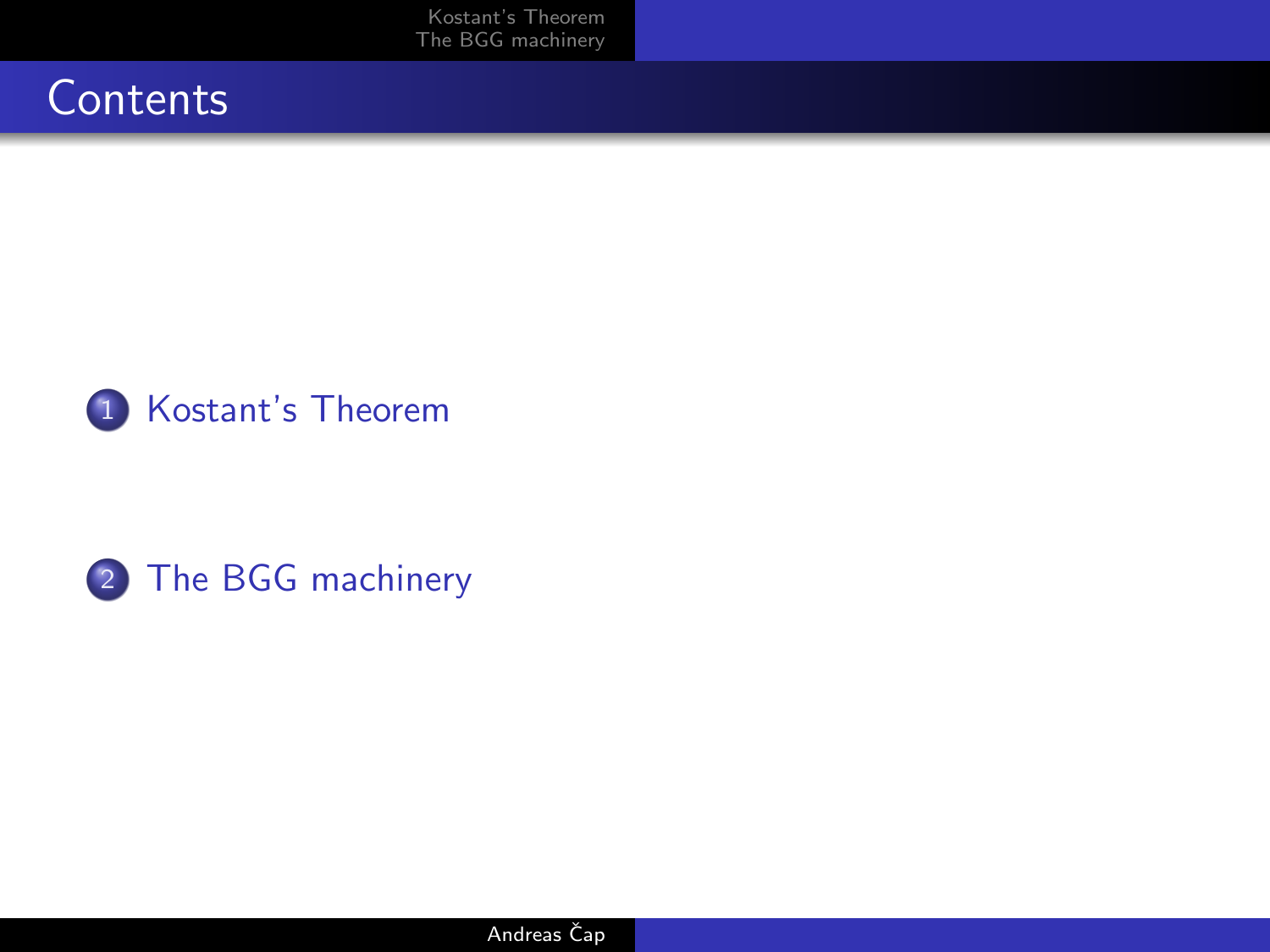[Kostant's Theorem](#page-3-0) [The BGG machinery](#page-8-0)





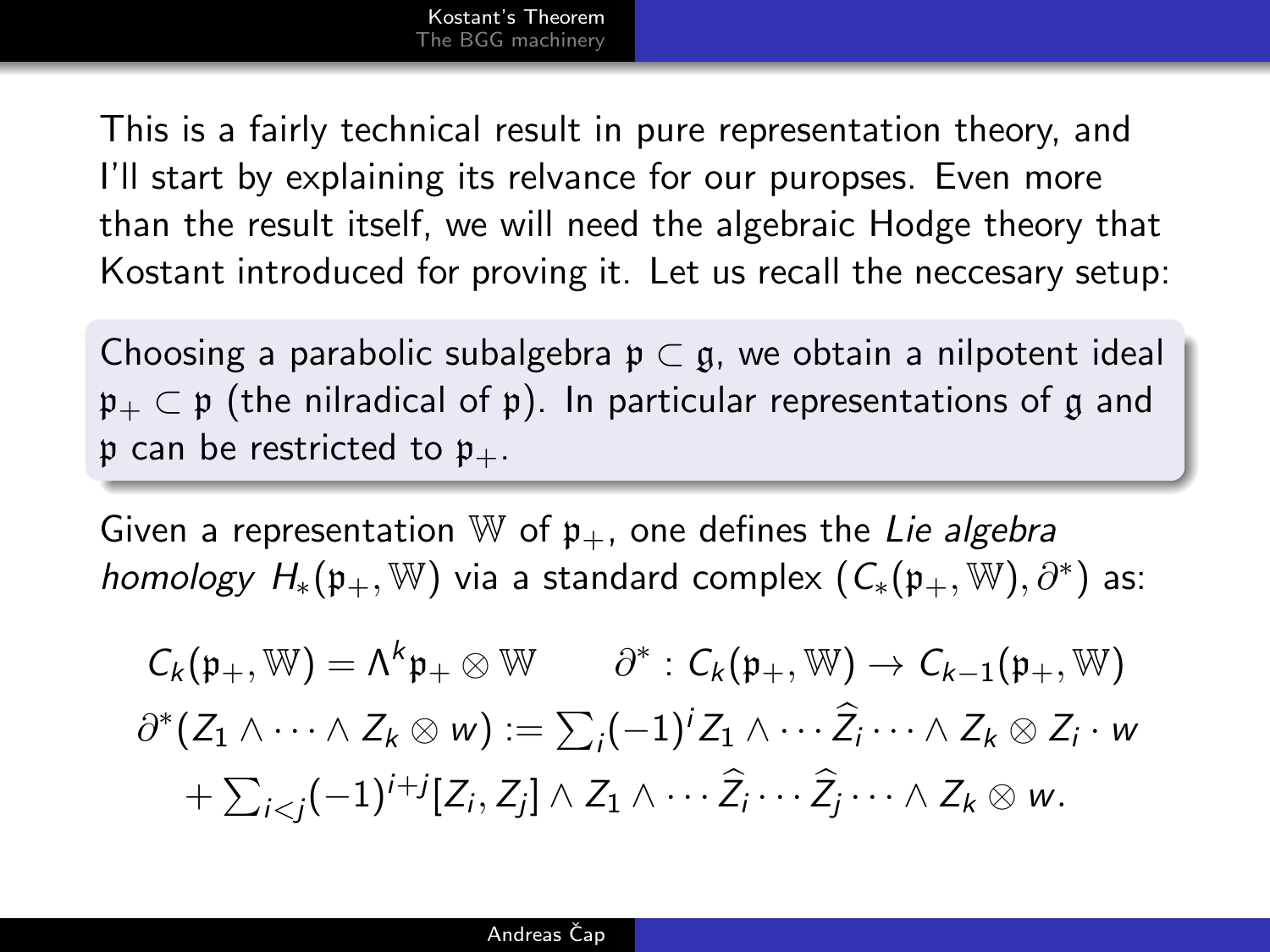This is a fairly technical result in pure representation theory, and I'll start by explaining its relvance for our puropses. Even more than the result itself, we will need the algebraic Hodge theory that Kostant introduced for proving it. Let us recall the neccesary setup:

Choosing a parabolic subalgebra  $\mathfrak{p} \subset \mathfrak{g}$ , we obtain a nilpotent ideal  $\mathfrak{p}_+ \subset \mathfrak{p}$  (the nilradical of  $\mathfrak{p}$ ). In particular representations of g and p can be restricted to  $p_{+}$ .

Given a representation  $\mathbb W$  of  $\mathfrak p_+$ , one defines the Lie algebra homology  $H_*(\mathfrak{p}_+,\mathbb{W})$  via a standard complex  $(C_*(\mathfrak{p}_+,\mathbb{W}),\partial^*)$  as:

<span id="page-3-0"></span>
$$
C_k(\mathfrak{p}_+, \mathbb{W}) = \Lambda^k \mathfrak{p}_+ \otimes \mathbb{W} \qquad \partial^* : C_k(\mathfrak{p}_+, \mathbb{W}) \to C_{k-1}(\mathfrak{p}_+, \mathbb{W})
$$
  

$$
\partial^*(Z_1 \wedge \cdots \wedge Z_k \otimes w) := \sum_i (-1)^i Z_1 \wedge \cdots \widehat{Z_i} \cdots \wedge Z_k \otimes Z_i \cdot w
$$
  

$$
+ \sum_{i < j} (-1)^{i+j} [Z_i, Z_j] \wedge Z_1 \wedge \cdots \widehat{Z_i} \cdots \widehat{Z_j} \cdots \wedge Z_k \otimes w.
$$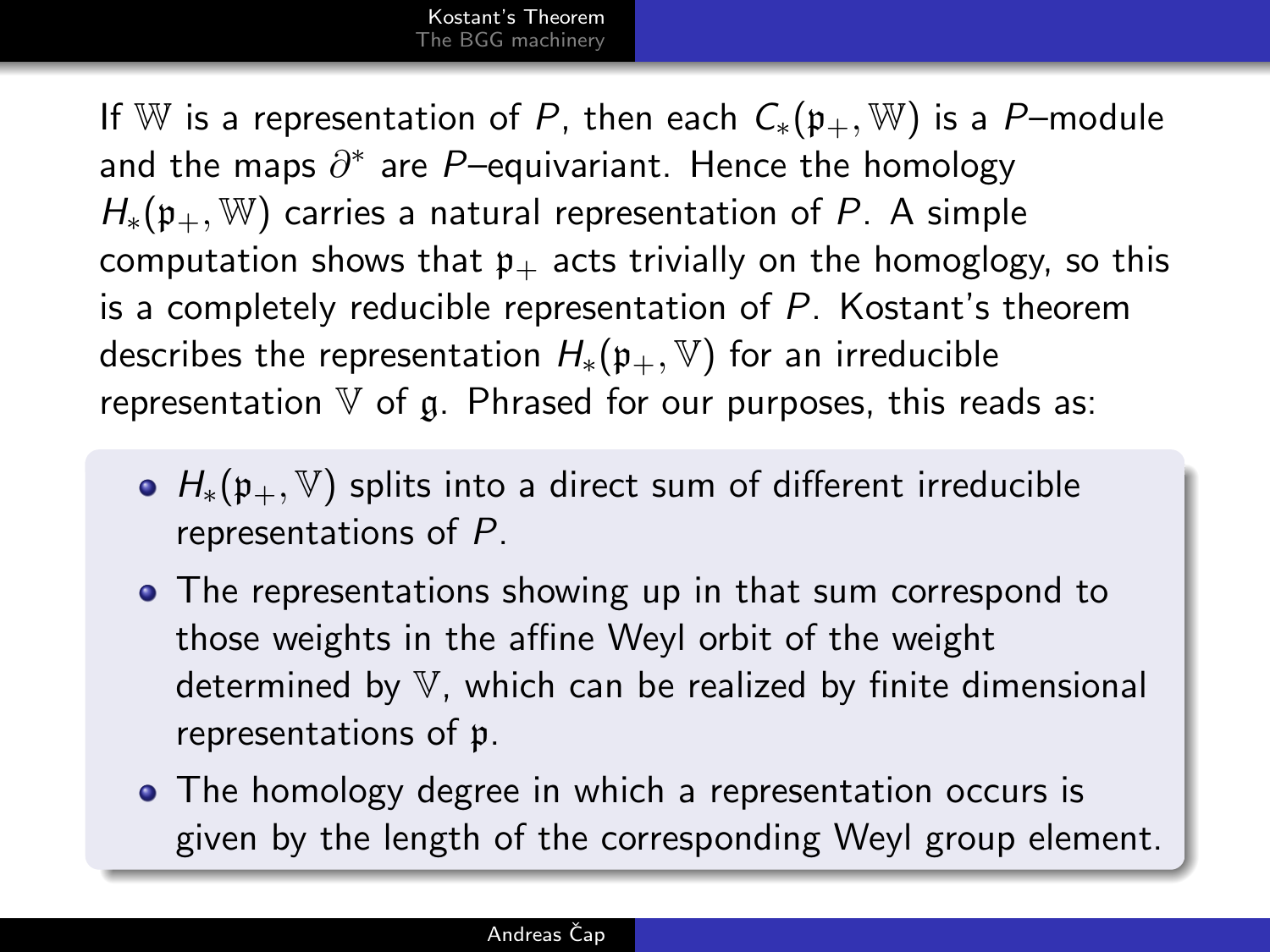If W is a representation of P, then each  $C_*(p_+, W)$  is a P–module and the maps  $\partial^*$  are  $P-$ equivariant. Hence the homology  $H_*(p_+, \mathbb{W})$  carries a natural representation of P. A simple computation shows that  $p_+$  acts trivially on the homoglogy, so this is a completely reducible representation of P. Kostant's theorem describes the representation  $H_*(p_+, \mathbb{V})$  for an irreducible representation  $V$  of g. Phrased for our purposes, this reads as:

- $H_*(p_+, \mathbb{V})$  splits into a direct sum of different irreducible representations of P.
- The representations showing up in that sum correspond to those weights in the affine Weyl orbit of the weight determined by V, which can be realized by finite dimensional representations of p.
- The homology degree in which a representation occurs is given by the length of the corresponding Weyl group element.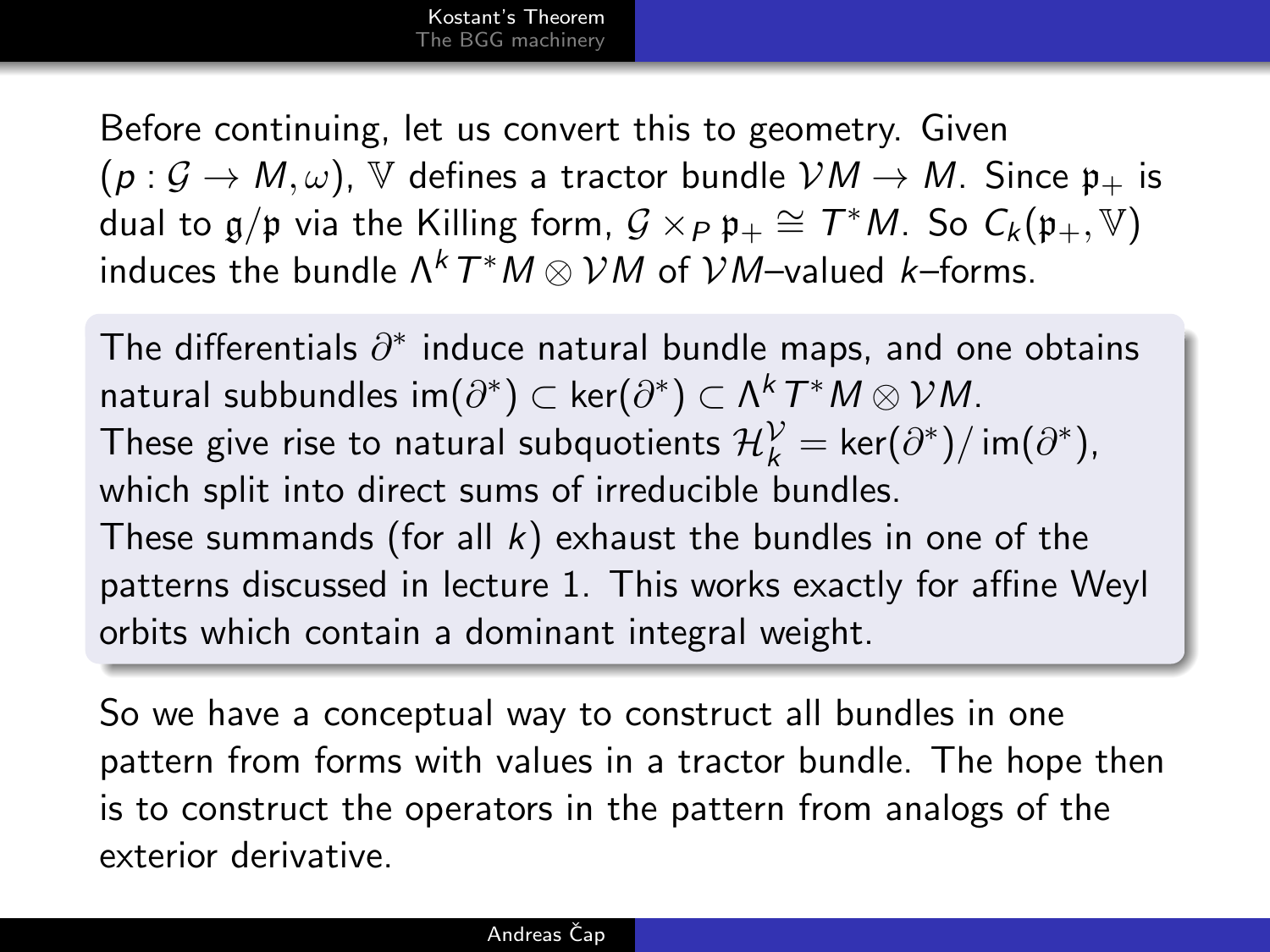Before continuing, let us convert this to geometry. Given  $(p: \mathcal{G} \to M, \omega)$ ,  $\mathbb V$  defines a tractor bundle  $\mathcal VM \to M$ . Since  $\mathfrak p_+$  is dual to  $\mathfrak{g}/\mathfrak{p}$  via the Killing form,  $\mathcal{G}\times_P \mathfrak{p}_+ \cong \mathcal{T}^*M$ . So  $\mathcal{C}_k(\mathfrak{p}_+,\mathbb{V})$ induces the bundle  $\Lambda^k\, T^\ast M \otimes \mathcal{V} M$  of  $\mathcal{V} M$ –valued  $k$ –forms.

The differentials  $\partial^*$  induce natural bundle maps, and one obtains natural subbundles im $(\partial^*)\subset\mathsf{ker}(\partial^*)\subset\Lambda^k\,\mathcal{T}^\ast M\otimes\mathcal{V}M.$ These give rise to natural subquotients  $\mathcal{H}^\mathcal{V}_k = \mathsf{ker}(\partial^*) / \mathsf{im}(\partial^*),$ which split into direct sums of irreducible bundles. These summands (for all  $k$ ) exhaust the bundles in one of the patterns discussed in lecture 1. This works exactly for affine Weyl orbits which contain a dominant integral weight.

So we have a conceptual way to construct all bundles in one pattern from forms with values in a tractor bundle. The hope then is to construct the operators in the pattern from analogs of the exterior derivative.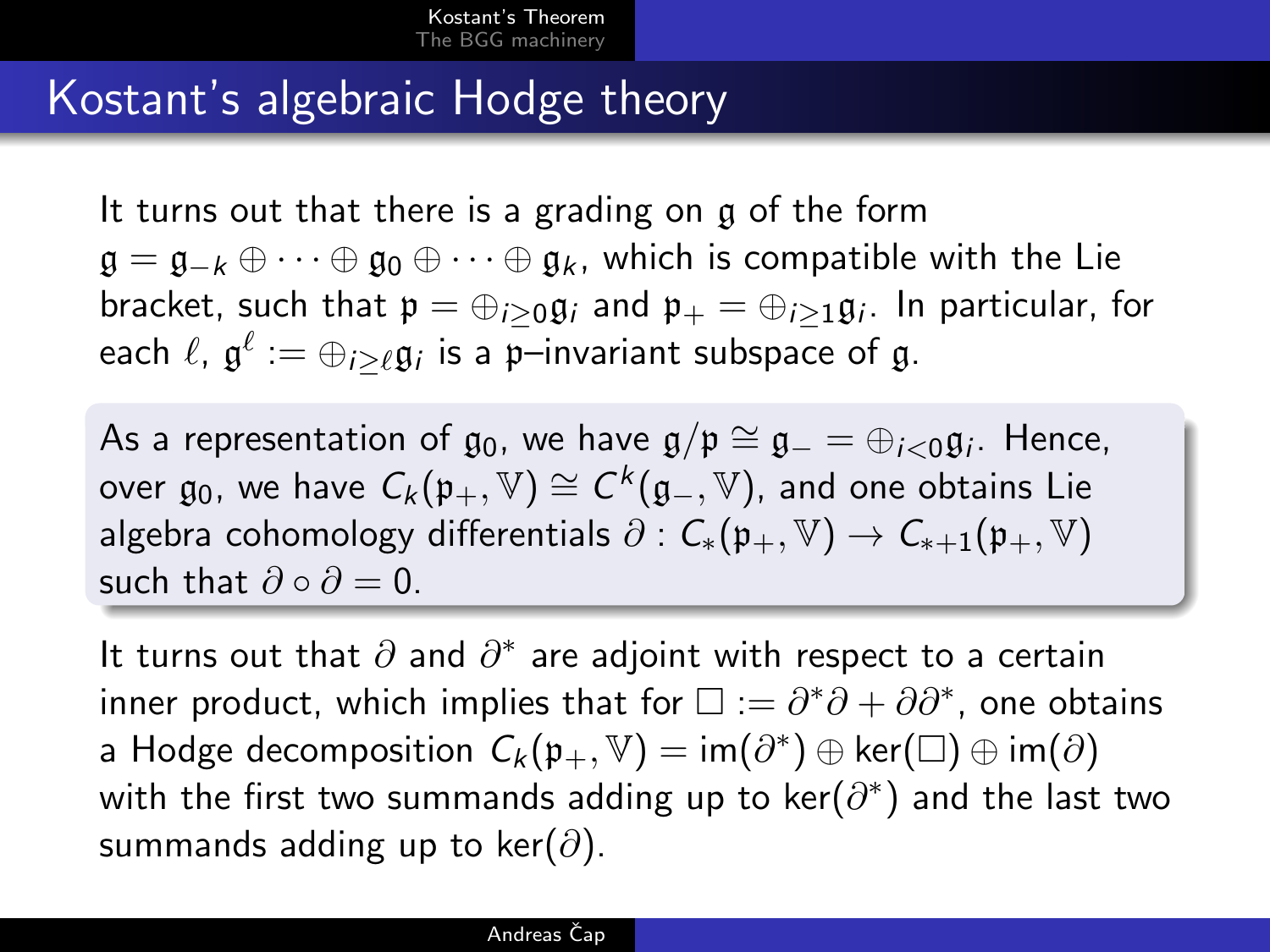### Kostant's algebraic Hodge theory

It turns out that there is a grading on g of the form  $\mathfrak{g} = \mathfrak{g}_{-k} \oplus \cdots \oplus \mathfrak{g}_0 \oplus \cdots \oplus \mathfrak{g}_k$ , which is compatible with the Lie bracket, such that  $\mathfrak{p}=\oplus_{i\geq 0}\mathfrak{g}_i$  and  $\mathfrak{p}_+=\oplus_{i\geq 1}\mathfrak{g}_i.$  In particular, for each  $\ell$ ,  $\mathfrak{g}^{\ell} := \oplus_{i \geq \ell} \mathfrak{g}_i$  is a p—invariant subspace of  $\mathfrak{g}.$ 

As a representation of  $\mathfrak{g}_0$ , we have  $\mathfrak{g}/\mathfrak{p}\cong \mathfrak{g}_-=\oplus_{i<0}\mathfrak{g}_i$ . Hence, over  $\mathfrak{g}_0$ , we have  $\mathcal{C}_k(\mathfrak{p}_+,\mathbb{V})\cong \mathcal{C}^k(\mathfrak{g}_-,\mathbb{V})$ , and one obtains Lie algebra cohomology differentials  $\partial$  :  $C_*(p_+, \mathbb{V}) \to C_{*+1}(p_+, \mathbb{V})$ such that  $\partial \circ \partial = 0$ .

It turns out that  $\partial$  and  $\partial^*$  are adjoint with respect to a certain inner product, which implies that for  $\square := \partial^* \partial + \partial \partial^*$ , one obtains a Hodge decomposition  $\mathcal{C}_k(\mathfrak{p}_+,\mathbb{V}) = \mathsf{im}(\partial^*) \oplus \mathsf{ker}(\square) \oplus \mathsf{im}(\partial)$ with the first two summands adding up to  $\ker(\partial^*)$  and the last two summands adding up to ker( $\partial$ ).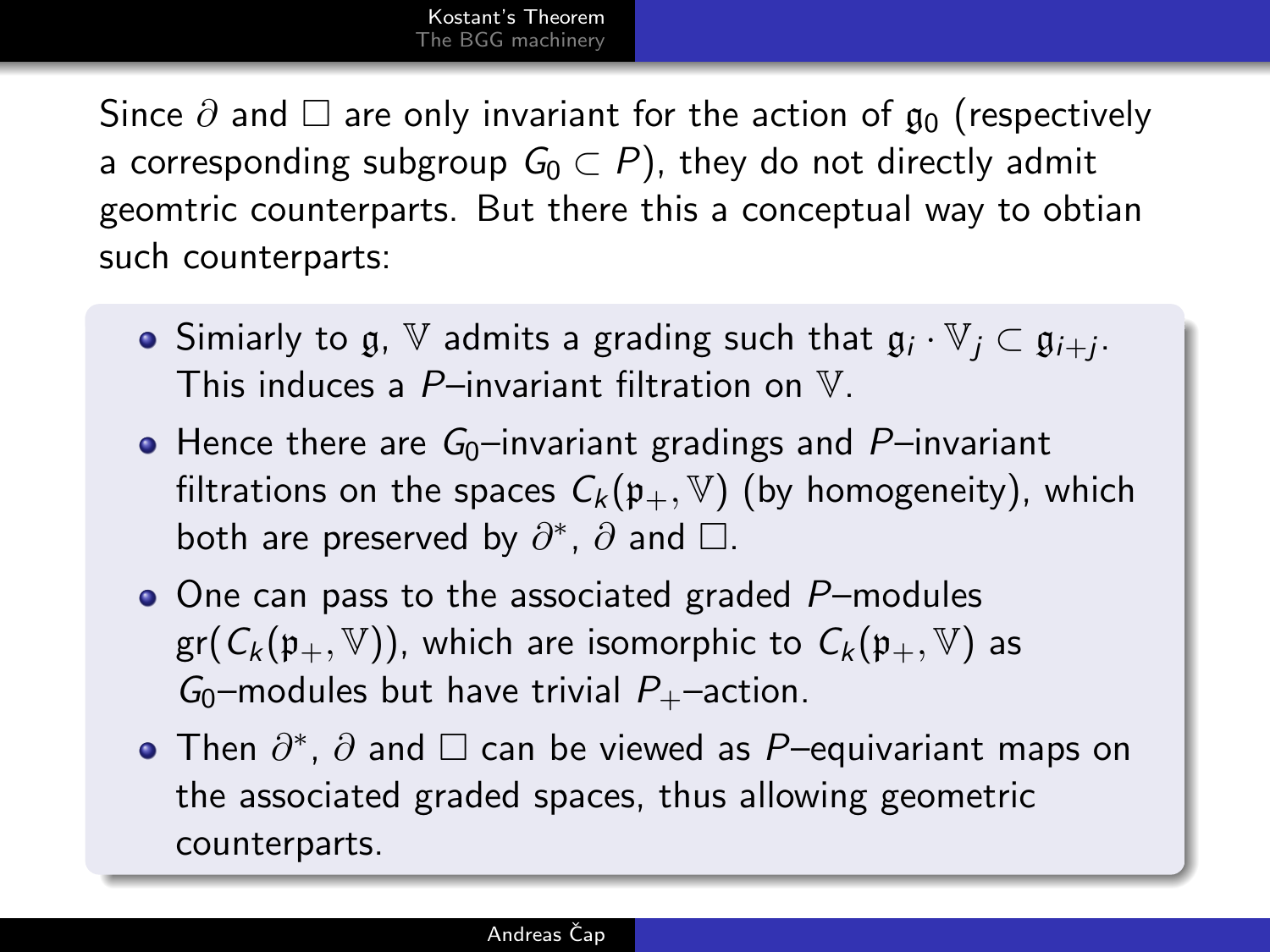Since  $\partial$  and  $\Box$  are only invariant for the action of  $\mathfrak{g}_0$  (respectively a corresponding subgroup  $G_0 \subset P$ ), they do not directly admit geomtric counterparts. But there this a conceptual way to obtian such counterparts:

- Simiarly to  $\mathfrak{g}, \mathbb{V}$  admits a grading such that  $\mathfrak{g}_i \cdot \mathbb{V}_j \subset \mathfrak{g}_{i+j}$ . This induces a  $P$ –invariant filtration on  $V$ .
- $\bullet$  Hence there are  $G_0$ –invariant gradings and P–invariant filtrations on the spaces  $C_k(\mathfrak{p}_+, \mathbb{V})$  (by homogeneity), which both are preserved by  $\partial^*$ ,  $\partial$  and  $\square$ .
- $\bullet$  One can pass to the associated graded P-modules  $gr(C_k(\mathfrak{p}_+,\mathbb{V}))$ , which are isomorphic to  $C_k(\mathfrak{p}_+,\mathbb{V})$  as  $G_0$ –modules but have trivial  $P_+$ –action.
- Then  $\partial^*$ ,  $\partial$  and  $\Box$  can be viewed as P–equivariant maps on the associated graded spaces, thus allowing geometric counterparts.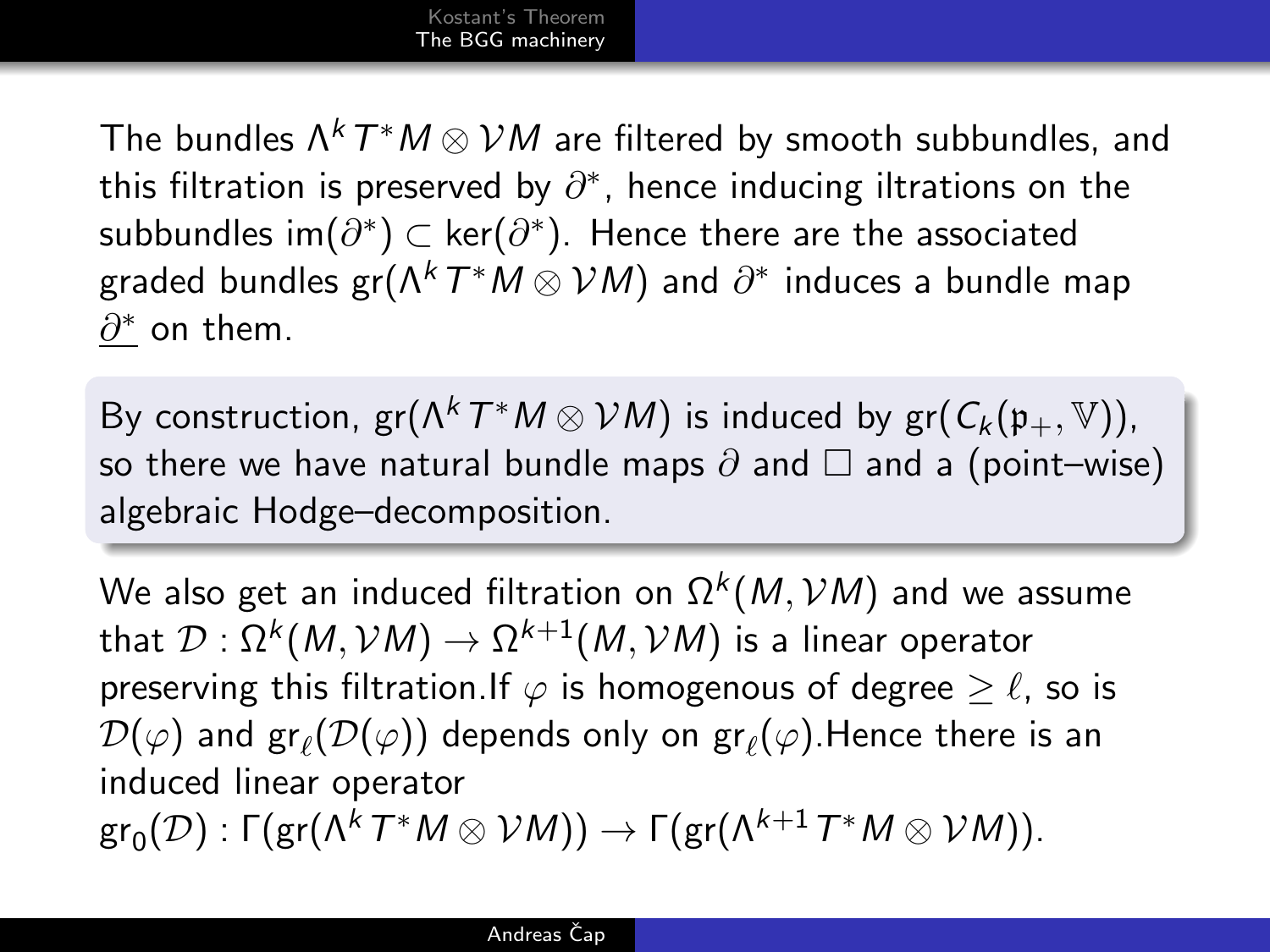The bundles  $\Lambda^k\,T^\ast M\otimes \mathcal{V}M$  are filtered by smooth subbundles, and this filtration is preserved by  $\partial^*$ , hence inducing iltrations on the subbundles im $(\partial^*)$  ⊂ ker $(\partial^*)$ . Hence there are the associated graded bundles gr $(\Lambda^k\,T^*M\otimes \mathcal{V}M)$  and  $\partial^*$  induces a bundle map  $\underline{\partial^*}$  on them.

By construction,  $gr(\Lambda^k T^*M\otimes \mathcal{V}M)$  is induced by  $gr(C_k(\mathfrak{p}_+,\mathbb{V})),$ so there we have natural bundle maps  $\partial$  and  $\Box$  and a (point–wise) algebraic Hodge–decomposition.

<span id="page-8-0"></span>We also get an induced filtration on  $\Omega^k(M, {\cal V} M)$  and we assume that  $\mathcal{D}:\Omega^k(M,\mathcal{V}M)\to\Omega^{k+1}(M,\mathcal{V}M)$  is a linear operator preserving this filtration.If  $\varphi$  is homogenous of degree  $\geq \ell$ , so is  $\mathcal{D}(\varphi)$  and  $\operatorname{\sf gr}_{\ell}(\mathcal{D}(\varphi))$  depends only on  $\operatorname{\sf gr}_{\ell}(\varphi).$ Hence there is an induced linear operator  $\textup{gr}_0(\mathcal{D}) : \Gamma(\textup{gr}(\Lambda^k T^* M \otimes \mathcal{V}M)) \to \Gamma(\textup{gr}(\Lambda^{k+1} T^* M \otimes \mathcal{V}M)).$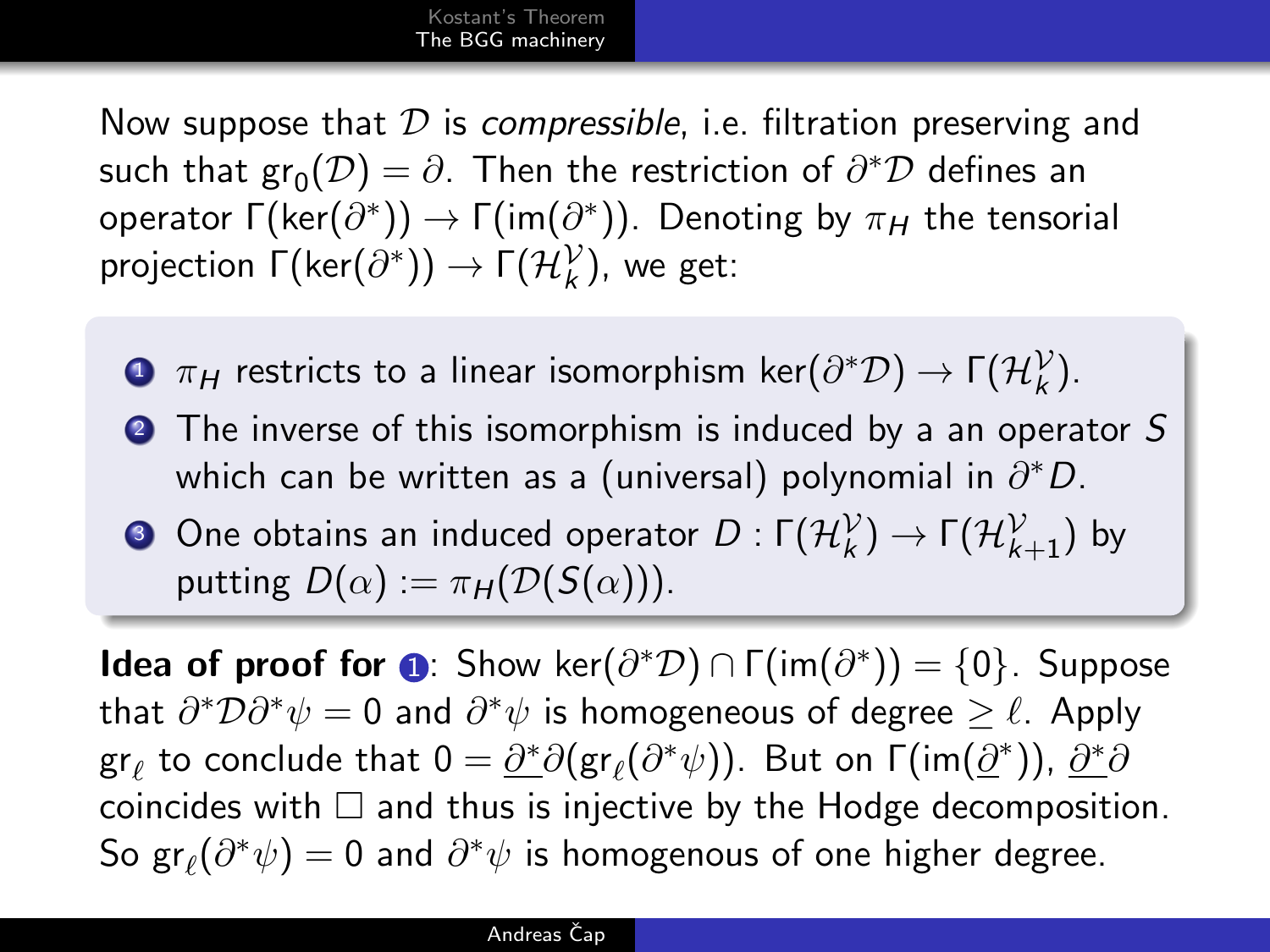Now suppose that  $D$  is compressible, i.e. filtration preserving and such that  $\text{gr}_0(\mathcal{D}) = \partial$ . Then the restriction of  $\partial^*\mathcal{D}$  defines an operator  $\mathsf{\Gamma}(\mathsf{ker}(\partial^*))\to \mathsf{\Gamma}(\mathsf{im}(\partial^*))$ . Denoting by  $\pi_H$  the tensorial projection  $\Gamma(\mathsf{ker}(\partial^*)) \to \Gamma(\mathcal{H}_k^{\mathcal{V}})$ , we get:

- <span id="page-9-0"></span> $\bullet$   $\pi_H$  restricts to a linear isomorphism ker $(\partial^*\mathcal D)\to \Gamma(\mathcal H_k^\mathcal V).$
- **2** The inverse of this isomorphism is induced by a an operator S which can be written as a (universal) polynomial in  $\partial^* D$ .

 $\bullet$  One obtains an induced operator  $D: \mathsf{\Gamma}(\mathcal{H}_k^{\mathcal{V}}) \rightarrow \mathsf{\Gamma}(\mathcal{H}_{k+1}^{\mathcal{V}})$  by putting  $D(\alpha) := \pi_H(D(S(\alpha)))$ .

**Idea of proof for**  $\odot$ : Show ker $(\partial^*\mathcal{D}) \cap \Gamma(\text{im}(\partial^*)) = \{0\}$ . Suppose that  $\partial^* \mathcal{D} \partial^* \psi = 0$  and  $\partial^* \psi$  is homogeneous of degree  $\geq \ell$ . Apply gr $_\ell$  to conclude that  $0 = \underline{\partial^*}\partial({\rm gr}_\ell(\partial^*\psi))$ . But on Γ $({\rm im}(\underline{\partial}^*))$ ,  $\underline{\partial^*}\partial$ coincides with  $\Box$  and thus is injective by the Hodge decomposition. So  $\mathsf{gr}_\ell(\partial^*\psi)=0$  and  $\partial^*\psi$  is homogenous of one higher degree.